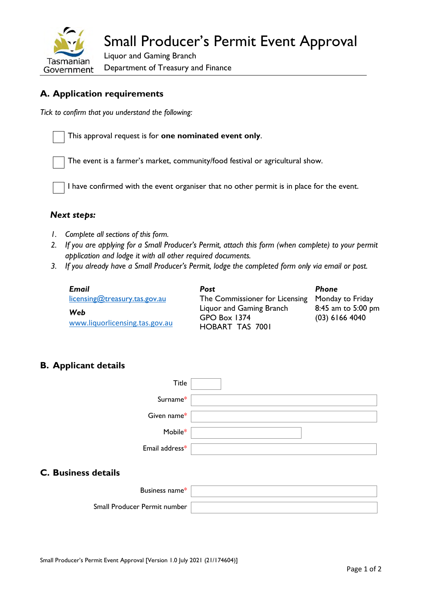

# **A. Application requirements**

*Tick to confirm that you understand the following:* 

This approval request is for **one nominated event only**.

The event is a farmer's market, community/food festival or agricultural show.

I have confirmed with the event organiser that no other permit is in place for the event.

#### *Next steps:*

- *1. Complete all sections of this form.*
- *2. If you are applying for a Small Producer's Permit, attach this form (when complete) to your permit application and lodge it with all other required documents.*
- *3. If you already have a Small Producer's Permit, lodge the completed form only via email or post.*

| Email                                 | <b>Post</b>                                                               | Phone                                  |
|---------------------------------------|---------------------------------------------------------------------------|----------------------------------------|
| licensing@treasury.tas.gov.au         | The Commissioner for Licensing Monday to Friday                           |                                        |
| Web<br>www.liquorlicensing.tas.gov.au | Liquor and Gaming Branch<br><b>GPO Box 1374</b><br><b>HOBART TAS 7001</b> | 8:45 am to 5:00 pm<br>$(03)$ 6166 4040 |

## **B. Applicant details**

| Title                      |  |
|----------------------------|--|
| Surname*                   |  |
| Given name*                |  |
| Mobile*                    |  |
| Email address*             |  |
| <b>C. Business details</b> |  |

# Business name\* Small Producer Permit number